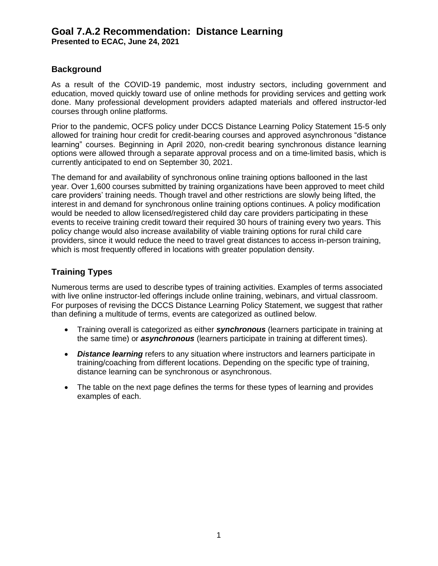**Presented to ECAC, June 24, 2021**

#### **Background**

As a result of the COVID-19 pandemic, most industry sectors, including government and education, moved quickly toward use of online methods for providing services and getting work done. Many professional development providers adapted materials and offered instructor-led courses through online platforms.

Prior to the pandemic, OCFS policy under DCCS Distance Learning Policy Statement 15-5 only allowed for training hour credit for credit-bearing courses and approved asynchronous "distance learning" courses. Beginning in April 2020, non-credit bearing synchronous distance learning options were allowed through a separate approval process and on a time-limited basis, which is currently anticipated to end on September 30, 2021.

The demand for and availability of synchronous online training options ballooned in the last year. Over 1,600 courses submitted by training organizations have been approved to meet child care providers' training needs. Though travel and other restrictions are slowly being lifted, the interest in and demand for synchronous online training options continues. A policy modification would be needed to allow licensed/registered child day care providers participating in these events to receive training credit toward their required 30 hours of training every two years. This policy change would also increase availability of viable training options for rural child care providers, since it would reduce the need to travel great distances to access in-person training, which is most frequently offered in locations with greater population density.

#### **Training Types**

Numerous terms are used to describe types of training activities. Examples of terms associated with live online instructor-led offerings include online training, webinars, and virtual classroom. For purposes of revising the DCCS Distance Learning Policy Statement, we suggest that rather than defining a multitude of terms, events are categorized as outlined below.

- Training overall is categorized as either *synchronous* (learners participate in training at the same time) or *asynchronous* (learners participate in training at different times).
- *Distance learning* refers to any situation where instructors and learners participate in training/coaching from different locations. Depending on the specific type of training, distance learning can be synchronous or asynchronous.
- The table on the next page defines the terms for these types of learning and provides examples of each.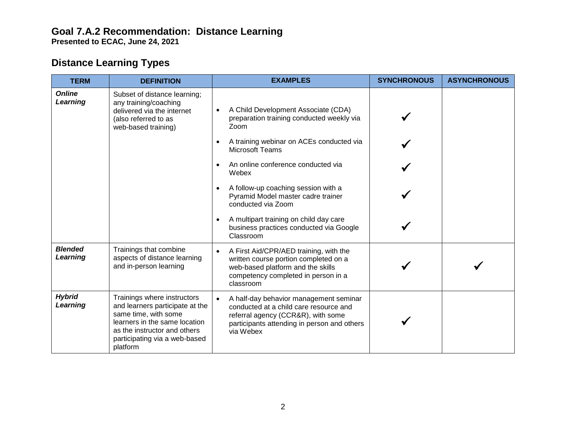**Presented to ECAC, June 24, 2021**

## **Distance Learning Types**

| <b>TERM</b>                | <b>DEFINITION</b>                                                                                                                                                                                    | <b>EXAMPLES</b>                                                                                                                                                                                 | <b>SYNCHRONOUS</b> | <b>ASYNCHRONOUS</b> |
|----------------------------|------------------------------------------------------------------------------------------------------------------------------------------------------------------------------------------------------|-------------------------------------------------------------------------------------------------------------------------------------------------------------------------------------------------|--------------------|---------------------|
| <b>Online</b><br>Learning  | Subset of distance learning;<br>any training/coaching<br>delivered via the internet<br>(also referred to as<br>web-based training)                                                                   | A Child Development Associate (CDA)<br>$\bullet$<br>preparation training conducted weekly via<br>Zoom                                                                                           |                    |                     |
|                            |                                                                                                                                                                                                      | A training webinar on ACEs conducted via<br><b>Microsoft Teams</b>                                                                                                                              |                    |                     |
|                            |                                                                                                                                                                                                      | An online conference conducted via<br>Webex                                                                                                                                                     |                    |                     |
|                            |                                                                                                                                                                                                      | A follow-up coaching session with a<br>Pyramid Model master cadre trainer<br>conducted via Zoom                                                                                                 |                    |                     |
|                            |                                                                                                                                                                                                      | A multipart training on child day care<br>business practices conducted via Google<br>Classroom                                                                                                  |                    |                     |
| <b>Blended</b><br>Learning | Trainings that combine<br>aspects of distance learning<br>and in-person learning                                                                                                                     | A First Aid/CPR/AED training, with the<br>written course portion completed on a<br>web-based platform and the skills<br>competency completed in person in a<br>classroom                        |                    |                     |
| <b>Hybrid</b><br>Learning  | Trainings where instructors<br>and learners participate at the<br>same time, with some<br>learners in the same location<br>as the instructor and others<br>participating via a web-based<br>platform | A half-day behavior management seminar<br>$\bullet$<br>conducted at a child care resource and<br>referral agency (CCR&R), with some<br>participants attending in person and others<br>via Webex |                    |                     |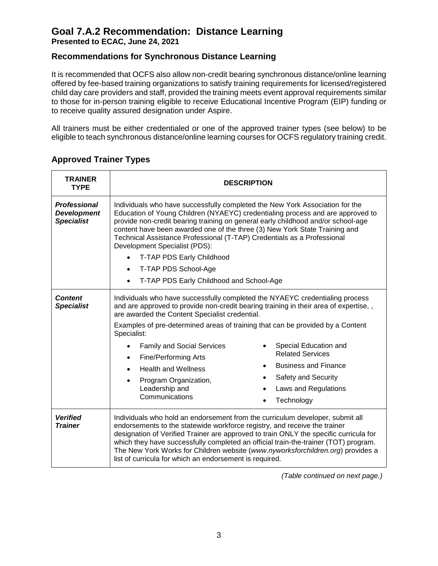**Presented to ECAC, June 24, 2021**

### **Recommendations for Synchronous Distance Learning**

It is recommended that OCFS also allow non-credit bearing synchronous distance/online learning offered by fee-based training organizations to satisfy training requirements for licensed/registered child day care providers and staff, provided the training meets event approval requirements similar to those for in-person training eligible to receive Educational Incentive Program (EIP) funding or to receive quality assured designation under Aspire.

All trainers must be either credentialed or one of the approved trainer types (see below) to be eligible to teach synchronous distance/online learning courses for OCFS regulatory training credit.

| <b>TRAINER</b><br><b>TYPE</b>                                  | <b>DESCRIPTION</b>                                                                                                                                                                                                                                                                                                                                                                                                                                                                                                                            |                                                                                                                                              |  |  |
|----------------------------------------------------------------|-----------------------------------------------------------------------------------------------------------------------------------------------------------------------------------------------------------------------------------------------------------------------------------------------------------------------------------------------------------------------------------------------------------------------------------------------------------------------------------------------------------------------------------------------|----------------------------------------------------------------------------------------------------------------------------------------------|--|--|
| <b>Professional</b><br><b>Development</b><br><b>Specialist</b> | Individuals who have successfully completed the New York Association for the<br>Education of Young Children (NYAEYC) credentialing process and are approved to<br>provide non-credit bearing training on general early childhood and/or school-age<br>content have been awarded one of the three (3) New York State Training and<br>Technical Assistance Professional (T-TAP) Credentials as a Professional<br>Development Specialist (PDS):<br>T-TAP PDS Early Childhood<br>T-TAP PDS School-Age<br>T-TAP PDS Early Childhood and School-Age |                                                                                                                                              |  |  |
| <b>Content</b><br><b>Specialist</b>                            | Individuals who have successfully completed the NYAEYC credentialing process<br>and are approved to provide non-credit bearing training in their area of expertise,,<br>are awarded the Content Specialist credential.<br>Examples of pre-determined areas of training that can be provided by a Content<br>Specialist:<br><b>Family and Social Services</b><br><b>Fine/Performing Arts</b><br>$\bullet$<br><b>Health and Wellness</b><br>Program Organization,<br>Leadership and<br>Communications                                           | Special Education and<br><b>Related Services</b><br><b>Business and Finance</b><br>Safety and Security<br>Laws and Regulations<br>Technology |  |  |
| <b>Verified</b><br><b>Trainer</b>                              | Individuals who hold an endorsement from the curriculum developer, submit all<br>endorsements to the statewide workforce registry, and receive the trainer<br>designation of Verified Trainer are approved to train ONLY the specific curricula for<br>which they have successfully completed an official train-the-trainer (TOT) program.<br>The New York Works for Children website (www.nyworksforchildren.org) provides a<br>list of curricula for which an endorsement is required.                                                      |                                                                                                                                              |  |  |

### **Approved Trainer Types**

*(Table continued on next page.)*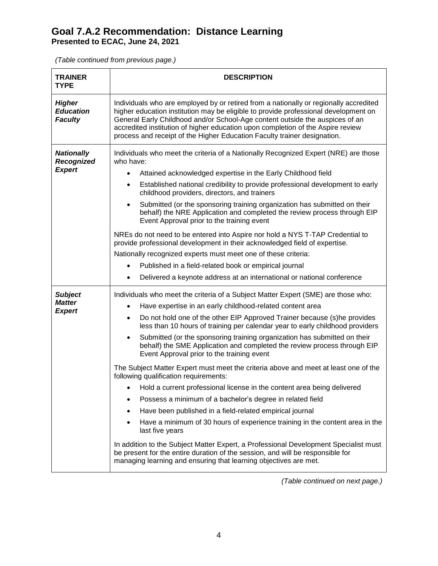**Presented to ECAC, June 24, 2021**

*(Table continued from previous page.)*

| <b>DESCRIPTION</b>                                                                                                                                                                                                                                                                                                                                                                                                                                                                                                                                                                                                                                                                                                                                          |  |  |
|-------------------------------------------------------------------------------------------------------------------------------------------------------------------------------------------------------------------------------------------------------------------------------------------------------------------------------------------------------------------------------------------------------------------------------------------------------------------------------------------------------------------------------------------------------------------------------------------------------------------------------------------------------------------------------------------------------------------------------------------------------------|--|--|
| Individuals who are employed by or retired from a nationally or regionally accredited<br>higher education institution may be eligible to provide professional development on<br>General Early Childhood and/or School-Age content outside the auspices of an<br>accredited institution of higher education upon completion of the Aspire review<br>process and receipt of the Higher Education Faculty trainer designation.                                                                                                                                                                                                                                                                                                                                 |  |  |
| Individuals who meet the criteria of a Nationally Recognized Expert (NRE) are those<br>who have:<br>Attained acknowledged expertise in the Early Childhood field<br>٠<br>Established national credibility to provide professional development to early<br>$\bullet$<br>childhood providers, directors, and trainers<br>Submitted (or the sponsoring training organization has submitted on their<br>behalf) the NRE Application and completed the review process through EIP<br>Event Approval prior to the training event<br>NREs do not need to be entered into Aspire nor hold a NYS T-TAP Credential to<br>provide professional development in their acknowledged field of expertise.<br>Nationally recognized experts must meet one of these criteria: |  |  |
| Published in a field-related book or empirical journal                                                                                                                                                                                                                                                                                                                                                                                                                                                                                                                                                                                                                                                                                                      |  |  |
| Delivered a keynote address at an international or national conference<br>$\bullet$                                                                                                                                                                                                                                                                                                                                                                                                                                                                                                                                                                                                                                                                         |  |  |
| Individuals who meet the criteria of a Subject Matter Expert (SME) are those who:<br>Have expertise in an early childhood-related content area<br>$\bullet$<br>Do not hold one of the other EIP Approved Trainer because (s)he provides<br>$\bullet$<br>less than 10 hours of training per calendar year to early childhood providers<br>Submitted (or the sponsoring training organization has submitted on their<br>behalf) the SME Application and completed the review process through EIP<br>Event Approval prior to the training event                                                                                                                                                                                                                |  |  |
| The Subject Matter Expert must meet the criteria above and meet at least one of the<br>following qualification requirements:<br>• Hold a current professional license in the content area being delivered<br>Possess a minimum of a bachelor's degree in related field<br>Have been published in a field-related empirical journal<br>Have a minimum of 30 hours of experience training in the content area in the<br>last five years<br>In addition to the Subject Matter Expert, a Professional Development Specialist must<br>be present for the entire duration of the session, and will be responsible for<br>managing learning and ensuring that learning objectives are met.                                                                         |  |  |
|                                                                                                                                                                                                                                                                                                                                                                                                                                                                                                                                                                                                                                                                                                                                                             |  |  |

*(Table continued on next page.)*